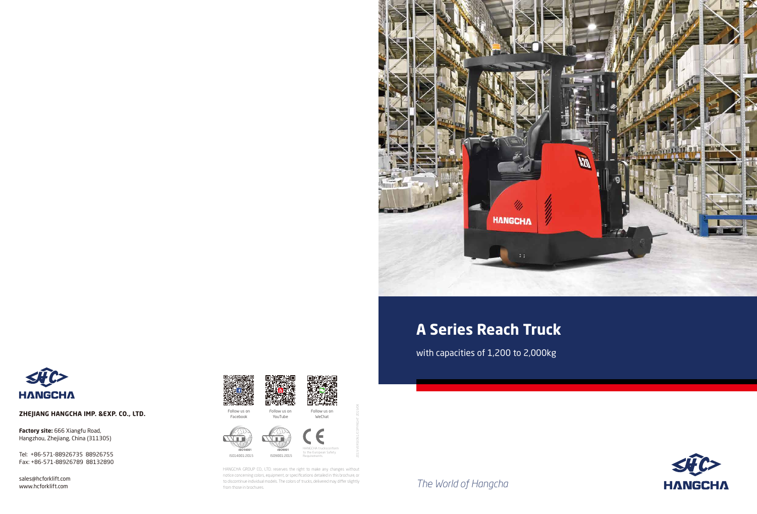*The World of Hangcha*



# **A Series Reach Truck**

with capacities of 1,200 to 2,000kg



**Factory site:** 666 Xiangfu Road, Hangzhou, Zhejiang, China (311305)

#### **ZHEJIANG HANGCHA IMP. &EXP. CO., LTD.**

sales@hcforklift.com www.hcforklift.com





Tel: +86-571-88926735 88926755 Fax: +86-571-88926789 88132890





HANGCHA GROUP CO., LTD. reserves the right to make any changes without notice concerning colors, equipment, or specifications detailed in this brochure, or to discontinue individual models. The colors of trucks, delivered may differ slightly from those in brochures.

2019 VERSION 1/COPYRIGHT 2019/04

Follow us on Facebook

Follow us on YouTube



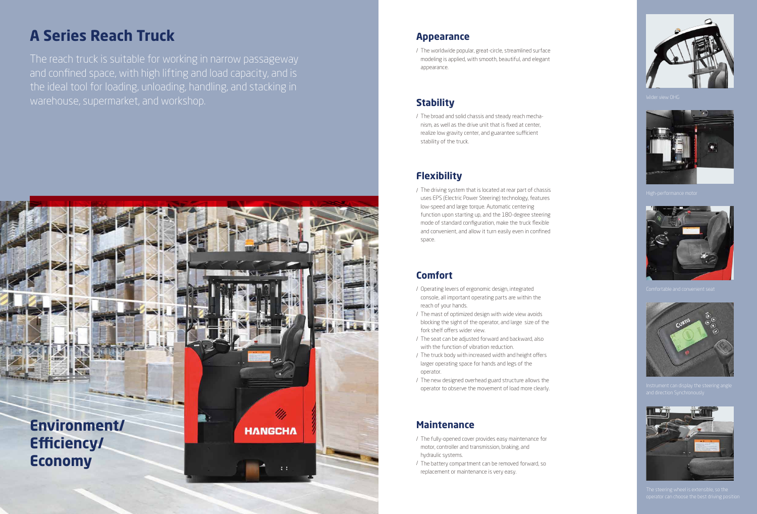#### **Appearance**

/ The worldwide popular, great-circle, streamlined surface modeling is applied, with smooth, beautiful, and elegant appearance.



# **A Series Reach Truck**

The reach truck is suitable for working in narrow passageway and confined space, with high lifting and load capacity, and is the ideal tool for loading, unloading, handling, and stacking in warehouse, supermarket, and workshop.

# **Comfort**

- / Operating levers of ergonomic design, integrated console, all important operating parts are within the reach of your hands.
- / The mast of optimized design with wide view avoids blocking the sight of the operator, and large size of the fork shelf offers wider view.
- / The seat can be adjusted forward and backward, also with the function of vibration reduction.
- / The truck body with increased width and height offers larger operating space for hands and legs of the operator.
- / The new designed overhead guard structure allows the operator to observe the movement of load more clearly.

# **Flexibility**

/ The driving system that is located at rear part of chassis uses EPS (Electric Power Steering) technology, features low-speed and large torque. Automatic centering function upon starting up, and the 180-degree steering mode of standard configuration, make the truck flexible and convenient, and allow it turn easily even in confined space.

### **Stability**

/ The broad and solid chassis and steady reach mechanism, as well as the drive unit that is fixed at center, realize low gravity center, and guarantee sufficient stability of the truck.

### **Maintenance**

- / The fully-opened cover provides easy maintenance for motor, controller and transmission, braking, and hydraulic systems.
- / The battery compartment can be removed forward, so replacement or maintenance is very easy.